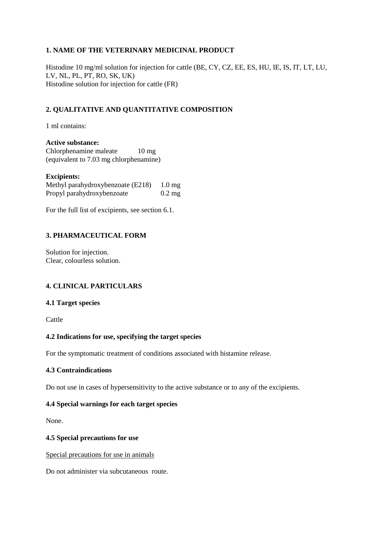## **1. NAME OF THE VETERINARY MEDICINAL PRODUCT**

Histodine 10 mg/ml solution for injection for cattle (BE, CY, CZ, EE, ES, HU, IE, IS, IT, LT, LU, LV, NL, PL, PT, RO, SK, UK) Histodine solution for injection for cattle (FR)

# **2. QUALITATIVE AND QUANTITATIVE COMPOSITION**

1 ml contains:

**Active substance:** Chlorphenamine maleate 10 mg (equivalent to 7.03 mg chlorphenamine)

#### **Excipients:**

Methyl parahydroxybenzoate (E218) 1.0 mg Propyl parahydroxybenzoate 0.2 mg

For the full list of excipients, see section 6.1.

## **3. PHARMACEUTICAL FORM**

Solution for injection. Clear, colourless solution.

## **4. CLINICAL PARTICULARS**

#### **4.1 Target species**

Cattle

## **4.2 Indications for use, specifying the target species**

For the symptomatic treatment of conditions associated with histamine release.

#### **4.3 Contraindications**

Do not use in cases of hypersensitivity to the active substance or to any of the excipients.

## **4.4 Special warnings for each target species**

None.

#### **4.5 Special precautions for use**

Special precautions for use in animals

Do not administer via subcutaneous route.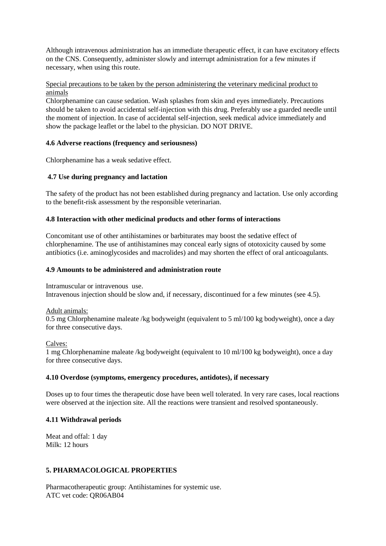Although intravenous administration has an immediate therapeutic effect, it can have excitatory effects on the CNS. Consequently, administer slowly and interrupt administration for a few minutes if necessary, when using this route.

#### Special precautions to be taken by the person administering the veterinary medicinal product to animals

Chlorphenamine can cause sedation. Wash splashes from skin and eyes immediately. Precautions should be taken to avoid accidental self-injection with this drug. Preferably use a guarded needle until the moment of injection. In case of accidental self-injection, seek medical advice immediately and show the package leaflet or the label to the physician. DO NOT DRIVE.

## **4.6 Adverse reactions (frequency and seriousness)**

Chlorphenamine has a weak sedative effect.

## **4.7 Use during pregnancy and lactation**

The safety of the product has not been established during pregnancy and lactation. Use only according to the benefit-risk assessment by the responsible veterinarian.

#### **4.8 Interaction with other medicinal products and other forms of interactions**

Concomitant use of other antihistamines or barbiturates may boost the sedative effect of chlorphenamine. The use of antihistamines may conceal early signs of ototoxicity caused by some antibiotics (i.e. aminoglycosides and macrolides) and may shorten the effect of oral anticoagulants.

#### **4.9 Amounts to be administered and administration route**

Intramuscular or intravenous use. Intravenous injection should be slow and, if necessary, discontinued for a few minutes (see 4.5).

Adult animals:

0.5 mg Chlorphenamine maleate /kg bodyweight (equivalent to 5 ml/100 kg bodyweight), once a day for three consecutive days.

Calves:

1 mg Chlorphenamine maleate /kg bodyweight (equivalent to 10 ml/100 kg bodyweight), once a day for three consecutive days.

#### **4.10 Overdose (symptoms, emergency procedures, antidotes), if necessary**

Doses up to four times the therapeutic dose have been well tolerated. In very rare cases, local reactions were observed at the injection site. All the reactions were transient and resolved spontaneously.

#### **4.11 Withdrawal periods**

Meat and offal: 1 day Milk: 12 hours

## **5. PHARMACOLOGICAL PROPERTIES**

Pharmacotherapeutic group: Antihistamines for systemic use. ATC vet code: QR06AB04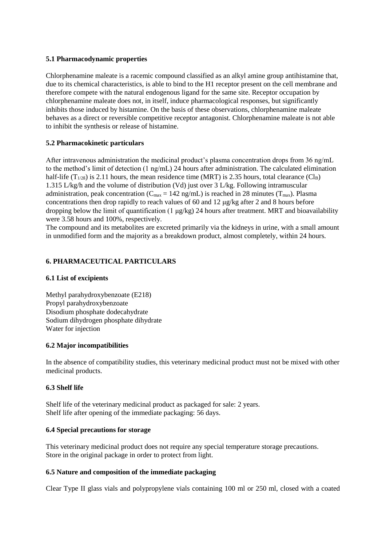#### **5.1 Pharmacodynamic properties**

Chlorphenamine maleate is a racemic compound classified as an alkyl amine group antihistamine that, due to its chemical characteristics, is able to bind to the H1 receptor present on the cell membrane and therefore compete with the natural endogenous ligand for the same site. Receptor occupation by chlorphenamine maleate does not, in itself, induce pharmacological responses, but significantly inhibits those induced by histamine. On the basis of these observations, chlorphenamine maleate behaves as a direct or reversible competitive receptor antagonist. Chlorphenamine maleate is not able to inhibit the synthesis or release of histamine.

## **5.2 Pharmacokinetic particulars**

After intravenous administration the medicinal product's plasma concentration drops from 36 ng/mL to the method's limit of detection (1 ng/mL) 24 hours after administration. The calculated elimination half-life  $(T_{1/2\beta})$  is 2.11 hours, the mean residence time (MRT) is 2.35 hours, total clearance (Cl<sub>B</sub>) 1.315 L/kg/h and the volume of distribution (Vd) just over 3 L/kg. Following intramuscular administration, peak concentration ( $C_{\text{max}} = 142$  ng/mL) is reached in 28 minutes ( $T_{\text{max}}$ ). Plasma concentrations then drop rapidly to reach values of 60 and 12 μg/kg after 2 and 8 hours before dropping below the limit of quantification (1 μg/kg) 24 hours after treatment. MRT and bioavailability were 3.58 hours and 100%, respectively.

The compound and its metabolites are excreted primarily via the kidneys in urine, with a small amount in unmodified form and the majority as a breakdown product, almost completely, within 24 hours.

## **6. PHARMACEUTICAL PARTICULARS**

## **6.1 List of excipients**

Methyl parahydroxybenzoate (E218) Propyl parahydroxybenzoate Disodium phosphate dodecahydrate Sodium dihydrogen phosphate dihydrate Water for injection

## **6.2 Major incompatibilities**

In the absence of compatibility studies, this veterinary medicinal product must not be mixed with other medicinal products.

## **6.3 Shelf life**

Shelf life of the veterinary medicinal product as packaged for sale: 2 years. Shelf life after opening of the immediate packaging: 56 days.

## **6.4 Special precautions for storage**

This veterinary medicinal product does not require any special temperature storage precautions. Store in the original package in order to protect from light.

## **6.5 Nature and composition of the immediate packaging**

Clear Type II glass vials and polypropylene vials containing 100 ml or 250 ml, closed with a coated